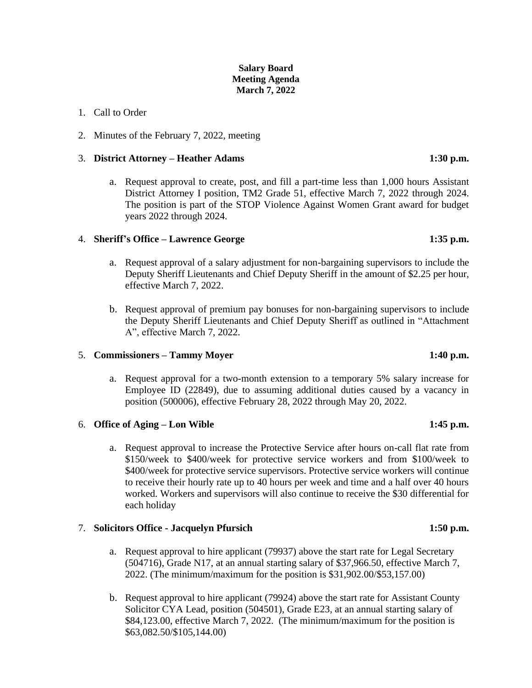# **Salary Board Meeting Agenda March 7, 2022**

## 1. Call to Order

2. Minutes of the February 7, 2022, meeting

### 3. **District Attorney – Heather Adams 1:30 p.m.**

a. Request approval to create, post, and fill a part-time less than 1,000 hours Assistant District Attorney I position, TM2 Grade 51, effective March 7, 2022 through 2024. The position is part of the STOP Violence Against Women Grant award for budget years 2022 through 2024.

### 4. **Sheriff's Office – Lawrence George 1:35 p.m.**

- a. Request approval of a salary adjustment for non-bargaining supervisors to include the Deputy Sheriff Lieutenants and Chief Deputy Sheriff in the amount of \$2.25 per hour, effective March 7, 2022.
- b. Request approval of premium pay bonuses for non-bargaining supervisors to include the Deputy Sheriff Lieutenants and Chief Deputy Sheriff as outlined in "Attachment A", effective March 7, 2022.

### 5. **Commissioners – Tammy Moyer 1:40 p.m.**

a. Request approval for a two-month extension to a temporary 5% salary increase for Employee ID (22849), due to assuming additional duties caused by a vacancy in position (500006), effective February 28, 2022 through May 20, 2022.

### 6. **Office of Aging – Lon Wible 1:45 p.m.**

a. Request approval to increase the Protective Service after hours on-call flat rate from \$150/week to \$400/week for protective service workers and from \$100/week to \$400/week for protective service supervisors. Protective service workers will continue to receive their hourly rate up to 40 hours per week and time and a half over 40 hours worked. Workers and supervisors will also continue to receive the \$30 differential for each holiday

## 7. **Solicitors Office - Jacquelyn Pfursich 1:50 p.m.**

- a. Request approval to hire applicant (79937) above the start rate for Legal Secretary (504716), Grade N17, at an annual starting salary of \$37,966.50, effective March 7, 2022. (The minimum/maximum for the position is \$31,902.00/\$53,157.00)
- b. Request approval to hire applicant (79924) above the start rate for Assistant County Solicitor CYA Lead, position (504501), Grade E23, at an annual starting salary of \$84,123.00, effective March 7, 2022. (The minimum/maximum for the position is \$63,082.50/\$105,144.00)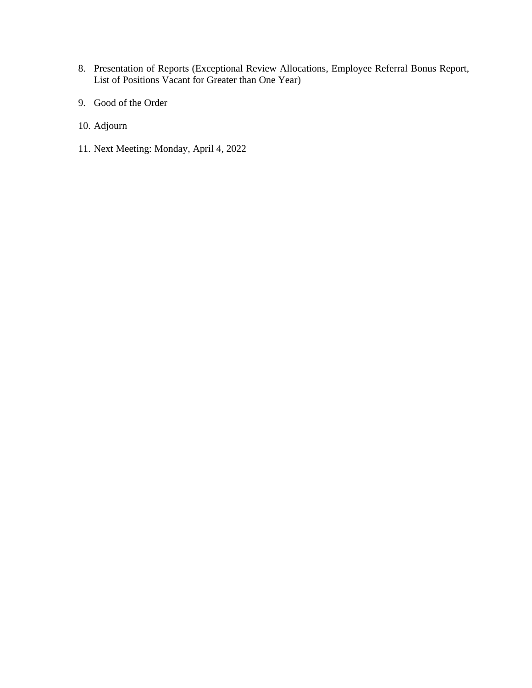- 8. Presentation of Reports (Exceptional Review Allocations, Employee Referral Bonus Report, List of Positions Vacant for Greater than One Year)
- 9. Good of the Order
- 10. Adjourn
- 11. Next Meeting: Monday, April 4, 2022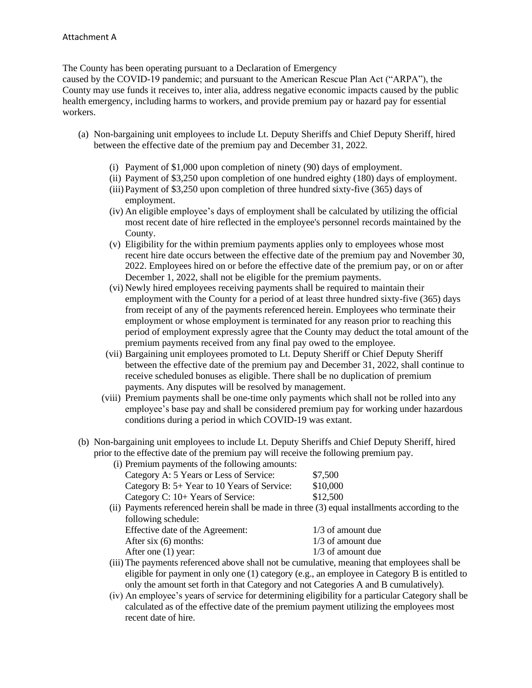The County has been operating pursuant to a Declaration of Emergency

caused by the COVID-19 pandemic; and pursuant to the American Rescue Plan Act ("ARPA"), the County may use funds it receives to, inter alia, address negative economic impacts caused by the public health emergency, including harms to workers, and provide premium pay or hazard pay for essential workers.

- (a) Non-bargaining unit employees to include Lt. Deputy Sheriffs and Chief Deputy Sheriff, hired between the effective date of the premium pay and December 31, 2022.
	- (i) Payment of \$1,000 upon completion of ninety (90) days of employment.
	- (ii) Payment of \$3,250 upon completion of one hundred eighty (180) days of employment.
	- (iii)Payment of \$3,250 upon completion of three hundred sixty-five (365) days of employment.
	- (iv) An eligible employee's days of employment shall be calculated by utilizing the official most recent date of hire reflected in the employee's personnel records maintained by the County.
	- (v) Eligibility for the within premium payments applies only to employees whose most recent hire date occurs between the effective date of the premium pay and November 30, 2022. Employees hired on or before the effective date of the premium pay, or on or after December 1, 2022, shall not be eligible for the premium payments.
	- (vi) Newly hired employees receiving payments shall be required to maintain their employment with the County for a period of at least three hundred sixty-five (365) days from receipt of any of the payments referenced herein. Employees who terminate their employment or whose employment is terminated for any reason prior to reaching this period of employment expressly agree that the County may deduct the total amount of the premium payments received from any final pay owed to the employee.
	- (vii) Bargaining unit employees promoted to Lt. Deputy Sheriff or Chief Deputy Sheriff between the effective date of the premium pay and December 31, 2022, shall continue to receive scheduled bonuses as eligible. There shall be no duplication of premium payments. Any disputes will be resolved by management.
	- (viii) Premium payments shall be one-time only payments which shall not be rolled into any employee's base pay and shall be considered premium pay for working under hazardous conditions during a period in which COVID-19 was extant.
- (b) Non-bargaining unit employees to include Lt. Deputy Sheriffs and Chief Deputy Sheriff, hired prior to the effective date of the premium pay will receive the following premium pay.

| (i) Premium payments of the following amounts: |          |
|------------------------------------------------|----------|
| Category A: 5 Years or Less of Service:        | \$7,500  |
| Category B: 5+ Year to 10 Years of Service:    | \$10,000 |
| Category C: 10+ Years of Service:              | \$12,500 |

(ii) Payments referenced herein shall be made in three (3) equal installments according to the following schedule:

| Effective date of the Agreement: | $1/3$ of amount due |
|----------------------------------|---------------------|
| After six $(6)$ months:          | $1/3$ of amount due |
| After one (1) year:              | $1/3$ of amount due |

- (iii) The payments referenced above shall not be cumulative, meaning that employees shall be eligible for payment in only one (1) category (e.g., an employee in Category B is entitled to only the amount set forth in that Category and not Categories A and B cumulatively).
- (iv) An employee's years of service for determining eligibility for a particular Category shall be calculated as of the effective date of the premium payment utilizing the employees most recent date of hire.